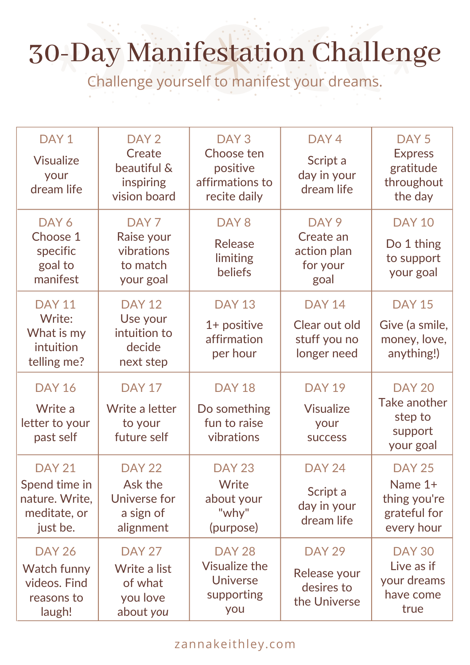## 30-Day Manifestation Challenge

Challenge yourself to manifest your dreams.

| DAY <sub>1</sub><br><b>Visualize</b><br>your<br>dream life                   | DAY <sub>2</sub><br>Create<br>beautiful &<br>inspiring<br>vision board | DAY <sub>3</sub><br>Choose ten<br>positive<br>affirmations to<br>recite daily | DAY <sub>4</sub><br>Script a<br>day in your<br>dream life        | DAY <sub>5</sub><br><b>Express</b><br>gratitude<br>throughout<br>the day |
|------------------------------------------------------------------------------|------------------------------------------------------------------------|-------------------------------------------------------------------------------|------------------------------------------------------------------|--------------------------------------------------------------------------|
| DAY 6<br>Choose 1<br>specific<br>goal to<br>manifest                         | DAY <sub>7</sub><br>Raise your<br>vibrations<br>to match<br>your goal  | DAY <sub>8</sub><br><b>Release</b><br>limiting<br>beliefs                     | DAY <sub>9</sub><br>Create an<br>action plan<br>for your<br>goal | <b>DAY 10</b><br>Do 1 thing<br>to support<br>your goal                   |
| <b>DAY 11</b><br>Write:<br>What is my<br>intuition<br>telling me?            | <b>DAY 12</b><br>Use your<br>intuition to<br>decide<br>next step       | <b>DAY 13</b><br>$1+$ positive<br>affirmation<br>per hour                     | <b>DAY 14</b><br>Clear out old<br>stuff you no<br>longer need    | <b>DAY 15</b><br>Give (a smile,<br>money, love,<br>anything!)            |
| <b>DAY 16</b><br>Write a<br>letter to your<br>past self                      | <b>DAY 17</b><br>Write a letter<br>to your<br>future self              | <b>DAY 18</b><br>Do something<br>fun to raise<br>vibrations                   | <b>DAY 19</b><br><b>Visualize</b><br>your<br><b>SUCCESS</b>      | <b>DAY 20</b><br>Take another<br>step to<br>support<br>your goal         |
| <b>DAY 21</b><br>Spend time in<br>nature. Write,<br>meditate, or<br>just be. | <b>DAY 22</b><br>Ask the<br>Universe for<br>a sign of<br>alignment     | <b>DAY 23</b><br>Write<br>about your<br>"why"<br>(purpose)                    | <b>DAY 24</b><br>Script a<br>day in your<br>dream life           | <b>DAY 25</b><br>Name 1+<br>thing you're<br>grateful for<br>every hour   |
| <b>DAY 26</b><br>Watch funny<br>videos. Find<br>reasons to<br>laugh!         | <b>DAY 27</b><br>Write a list<br>of what<br>you love<br>about you      | <b>DAY 28</b><br><b>Visualize the</b><br><b>Universe</b><br>supporting<br>you | <b>DAY 29</b><br>Release your<br>desires to<br>the Universe      | <b>DAY 30</b><br>Live as if<br>your dreams<br>have come<br>true          |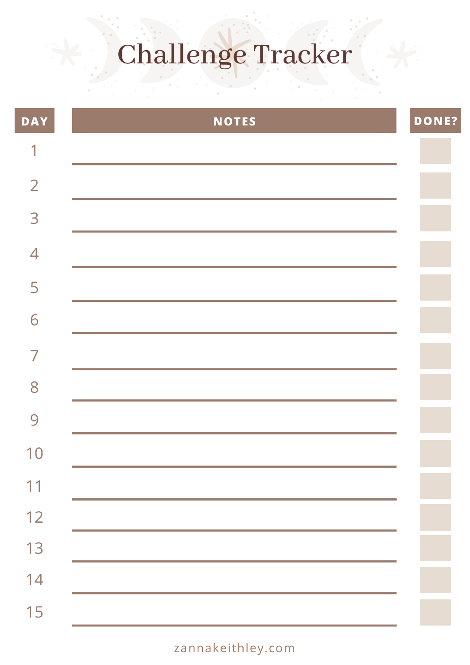# Challenge Tracker

| <b>DAY</b>     | NOTES | <b>DONE?</b> |
|----------------|-------|--------------|
| $\sim$         |       |              |
| $\overline{2}$ |       |              |
| 3              |       |              |
| $\overline{4}$ |       |              |
| 5              |       |              |
| 6              |       |              |
| $\overline{ }$ |       |              |
| 8              |       |              |
| 9              |       |              |
| 10             |       |              |
| 11             |       |              |
| 12             |       |              |
| 13             |       |              |
| 14             |       |              |
| 15             |       |              |

#### zannakeithley.com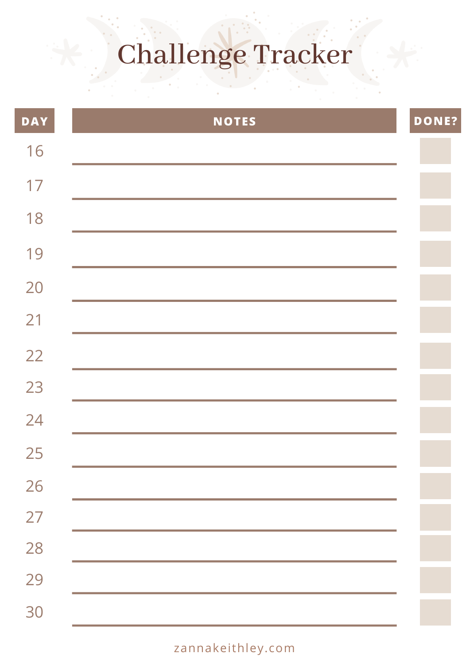# Challenge Tracker

| <b>DAY</b> | <b>NOTES</b> | <b>DONE?</b> |
|------------|--------------|--------------|
| 16         |              |              |
| 17         |              |              |
| 18         |              |              |
| 19         |              |              |
| 20         |              |              |
| 21         |              |              |
| 22         |              |              |
| 23         |              |              |
| 24         |              |              |
| 25         |              |              |
| 26         |              |              |
| 27         |              |              |
| 28         |              |              |
| 29         |              |              |
| 30         |              |              |

#### zannakeithley.com